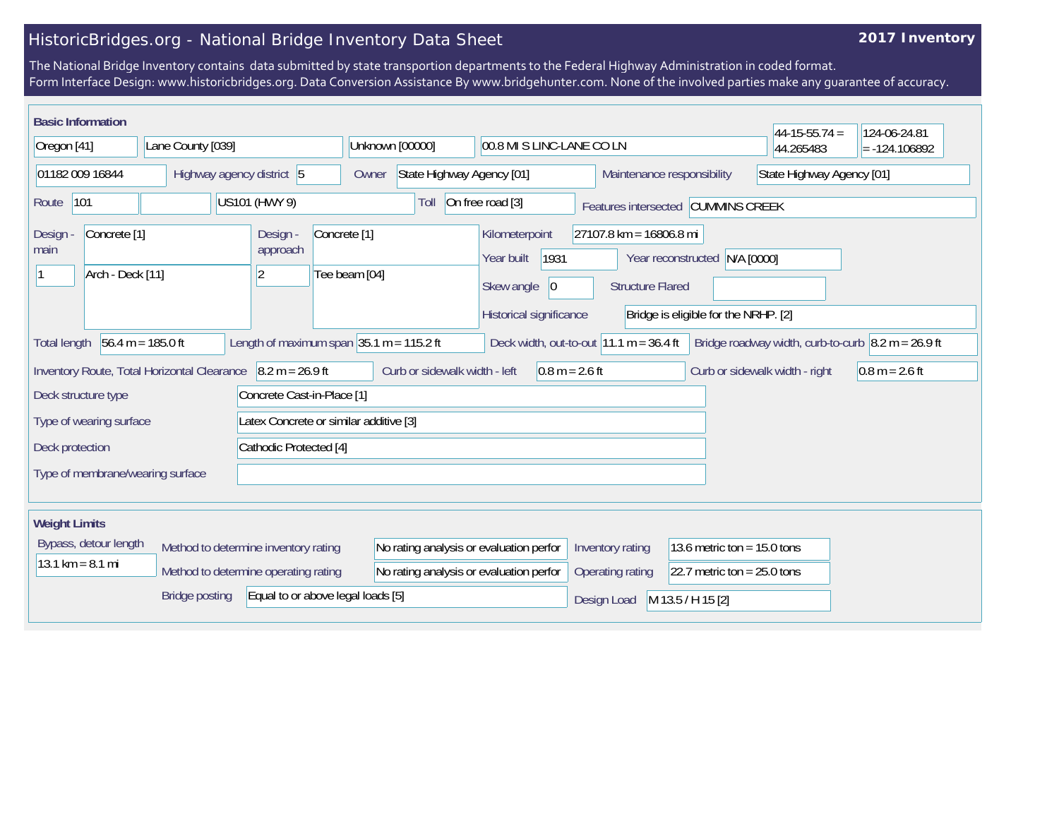## HistoricBridges.org - National Bridge Inventory Data Sheet

## **2017 Inventory**

The National Bridge Inventory contains data submitted by state transportion departments to the Federal Highway Administration in coded format. Form Interface Design: www.historicbridges.org. Data Conversion Assistance By www.bridgehunter.com. None of the involved parties make any guarantee of accuracy.

| <b>Basic Information</b>                                                                                                                                                                                                             |                                                             |                                                                                    |                                         |                                                                |                                                    |                                      | $44-15-55.74 =$                | 124-06-24.81     |
|--------------------------------------------------------------------------------------------------------------------------------------------------------------------------------------------------------------------------------------|-------------------------------------------------------------|------------------------------------------------------------------------------------|-----------------------------------------|----------------------------------------------------------------|----------------------------------------------------|--------------------------------------|--------------------------------|------------------|
| Lane County [039]<br>Oregon [41]                                                                                                                                                                                                     |                                                             | Unknown [00000]                                                                    | 00.8 MI S LINC-LANE CO LN               |                                                                | 44.265483                                          | $= -124.106892$                      |                                |                  |
| 01182 009 16844<br>Highway agency district 5                                                                                                                                                                                         |                                                             |                                                                                    | Owner                                   | State Highway Agency [01]<br>Maintenance responsibility        |                                                    | State Highway Agency [01]            |                                |                  |
| 101<br>Route                                                                                                                                                                                                                         | US101 (HWY 9)                                               |                                                                                    |                                         | On free road [3]<br>Toll<br>Features intersected CUMMINS CREEK |                                                    |                                      |                                |                  |
| Concrete <sup>[1]</sup><br>Design<br>main<br>Arch - Deck [11]                                                                                                                                                                        |                                                             | Design -<br>Concrete <sup>[1]</sup><br>approach<br>Tee beam [04]<br>$\overline{2}$ |                                         | Kilometerpoint<br>1931<br>Year built<br> 0 <br>Skew angle      | 27107.8 km = 16806.8 mi<br><b>Structure Flared</b> | Year reconstructed N/A [0000]        |                                |                  |
|                                                                                                                                                                                                                                      |                                                             |                                                                                    |                                         | Historical significance                                        |                                                    | Bridge is eligible for the NRHP. [2] |                                |                  |
| Length of maximum span $ 35.1 \text{ m} = 115.2 \text{ ft}$<br>$56.4 m = 185.0 ft$<br>Deck width, out-to-out $11.1 m = 36.4 ft$<br>Bridge roadway width, curb-to-curb $\vert 8.2 \text{ m} = 26.9 \text{ ft}$<br><b>Total length</b> |                                                             |                                                                                    |                                         |                                                                |                                                    |                                      |                                |                  |
|                                                                                                                                                                                                                                      | Inventory Route, Total Horizontal Clearance 8.2 m = 26.9 ft |                                                                                    | Curb or sidewalk width - left           | $0.8 m = 2.6 ft$                                               |                                                    |                                      | Curb or sidewalk width - right | $0.8 m = 2.6 ft$ |
| Deck structure type                                                                                                                                                                                                                  |                                                             | Concrete Cast-in-Place [1]                                                         |                                         |                                                                |                                                    |                                      |                                |                  |
| Latex Concrete or similar additive [3]<br>Type of wearing surface                                                                                                                                                                    |                                                             |                                                                                    |                                         |                                                                |                                                    |                                      |                                |                  |
| Cathodic Protected [4]<br>Deck protection                                                                                                                                                                                            |                                                             |                                                                                    |                                         |                                                                |                                                    |                                      |                                |                  |
| Type of membrane/wearing surface                                                                                                                                                                                                     |                                                             |                                                                                    |                                         |                                                                |                                                    |                                      |                                |                  |
| <b>Weight Limits</b>                                                                                                                                                                                                                 |                                                             |                                                                                    |                                         |                                                                |                                                    |                                      |                                |                  |
| Bypass, detour length                                                                                                                                                                                                                | Method to determine inventory rating                        |                                                                                    | No rating analysis or evaluation perfor |                                                                | Inventory rating                                   | 13.6 metric ton = $15.0$ tons        |                                |                  |
| $13.1 \text{ km} = 8.1 \text{ mi}$                                                                                                                                                                                                   | Method to determine operating rating                        |                                                                                    | No rating analysis or evaluation perfor |                                                                | Operating rating                                   | 22.7 metric ton = $25.0$ tons        |                                |                  |
| Equal to or above legal loads [5]<br><b>Bridge posting</b>                                                                                                                                                                           |                                                             |                                                                                    |                                         |                                                                | Design Load                                        | M 13.5 / H 15 [2]                    |                                |                  |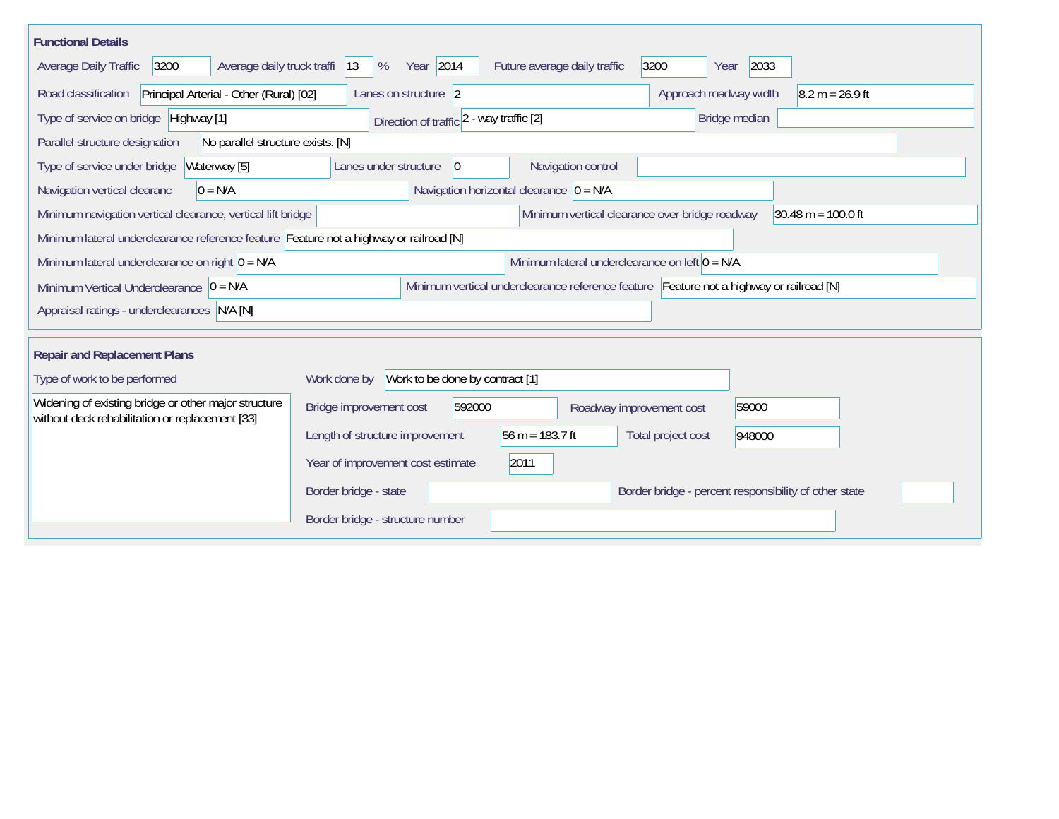| <b>Functional Details</b>                                                                                                                             |                                                 |                                             |                                                       |        |                   |  |
|-------------------------------------------------------------------------------------------------------------------------------------------------------|-------------------------------------------------|---------------------------------------------|-------------------------------------------------------|--------|-------------------|--|
| Average daily truck traffi<br>Average Daily Traffic<br>3200                                                                                           | Year 2014<br>%<br> 13                           | Future average daily traffic                | 3200<br>Year                                          | 2033   |                   |  |
| Road classification<br>Principal Arterial - Other (Rural) [02]                                                                                        | Lanes on structure 2                            |                                             | Approach roadway width                                |        | $8.2 m = 26.9 ft$ |  |
| Type of service on bridge Highway [1]                                                                                                                 | Direction of traffic 2 - way traffic [2]        |                                             | Bridge median                                         |        |                   |  |
| No parallel structure exists. [N]<br>Parallel structure designation                                                                                   |                                                 |                                             |                                                       |        |                   |  |
| Type of service under bridge<br>Waterway [5]                                                                                                          | Lanes under structure<br>10                     | Navigation control                          |                                                       |        |                   |  |
| Navigation vertical clearanc<br>$0 = N/A$                                                                                                             |                                                 | Navigation horizontal clearance $ 0 = N/A $ |                                                       |        |                   |  |
| $30.48 \text{ m} = 100.0 \text{ ft}$<br>Minimum vertical clearance over bridge roadway<br>Minimum navigation vertical clearance, vertical lift bridge |                                                 |                                             |                                                       |        |                   |  |
| Minimum lateral underclearance reference feature Feature not a highway or railroad [N]                                                                |                                                 |                                             |                                                       |        |                   |  |
| Minimum lateral underclearance on left $0 = N/A$<br>Minimum lateral underclearance on right $0 = N/A$                                                 |                                                 |                                             |                                                       |        |                   |  |
| Minimum vertical underclearance reference feature Feature not a highway or railroad [N]<br>Minimum Vertical Underclearance $ 0 = N/A $                |                                                 |                                             |                                                       |        |                   |  |
| Appraisal ratings - underclearances N/A [N]                                                                                                           |                                                 |                                             |                                                       |        |                   |  |
|                                                                                                                                                       |                                                 |                                             |                                                       |        |                   |  |
| <b>Repair and Replacement Plans</b>                                                                                                                   |                                                 |                                             |                                                       |        |                   |  |
| Type of work to be performed                                                                                                                          | Work to be done by contract [1]<br>Work done by |                                             |                                                       |        |                   |  |
| Widening of existing bridge or other major structure<br>without deck rehabilitation or replacement [33]                                               | Bridge improvement cost<br>592000               |                                             | Roadway improvement cost                              | 59000  |                   |  |
|                                                                                                                                                       | Length of structure improvement                 | 56 m = $183.7$ ft                           | Total project cost                                    | 948000 |                   |  |
|                                                                                                                                                       | Year of improvement cost estimate               | 2011                                        |                                                       |        |                   |  |
|                                                                                                                                                       | Border bridge - state                           |                                             | Border bridge - percent responsibility of other state |        |                   |  |
|                                                                                                                                                       | Border bridge - structure number                |                                             |                                                       |        |                   |  |